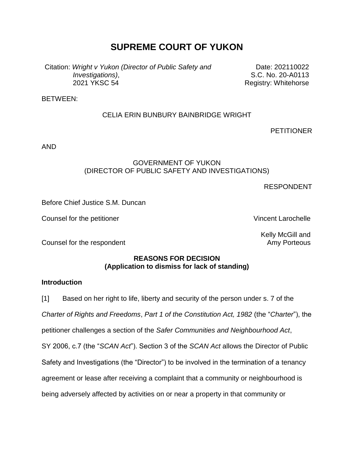# **SUPREME COURT OF YUKON**

Citation: *Wright v Yukon (Director of Public Safety and Investigations)*, 2021 YKSC 54

Date: 202110022 S.C. No. 20-A0113 Registry: Whitehorse

BETWEEN:

## CELIA ERIN BUNBURY BAINBRIDGE WRIGHT

**PETITIONER** 

AND

#### GOVERNMENT OF YUKON (DIRECTOR OF PUBLIC SAFETY AND INVESTIGATIONS)

RESPONDENT

Before Chief Justice S.M. Duncan

Counsel for the petitioner view of the setting of the Vincent Larochelle

Kelly McGill and Amy Porteous

Counsel for the respondent

## **REASONS FOR DECISION (Application to dismiss for lack of standing)**

#### **Introduction**

[1] Based on her right to life, liberty and security of the person under s. 7 of the *Charter of Rights and Freedoms*, *Part 1 of the Constitution Act, 1982* (the "*Charter*"), the petitioner challenges a section of the *Safer Communities and Neighbourhood Act*, SY 2006, c.7 (the "*SCAN Act*"). Section 3 of the *SCAN Act* allows the Director of Public Safety and Investigations (the "Director") to be involved in the termination of a tenancy agreement or lease after receiving a complaint that a community or neighbourhood is being adversely affected by activities on or near a property in that community or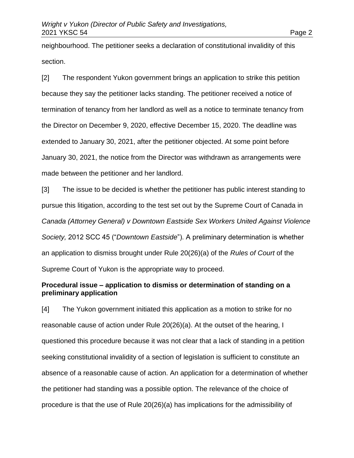neighbourhood. The petitioner seeks a declaration of constitutional invalidity of this section.

[2] The respondent Yukon government brings an application to strike this petition because they say the petitioner lacks standing. The petitioner received a notice of termination of tenancy from her landlord as well as a notice to terminate tenancy from the Director on December 9, 2020, effective December 15, 2020. The deadline was extended to January 30, 2021, after the petitioner objected. At some point before January 30, 2021, the notice from the Director was withdrawn as arrangements were made between the petitioner and her landlord.

[3] The issue to be decided is whether the petitioner has public interest standing to pursue this litigation, according to the test set out by the Supreme Court of Canada in *Canada (Attorney General) v Downtown Eastside Sex Workers United Against Violence Society,* 2012 SCC 45 ("*Downtown Eastside*"). A preliminary determination is whether an application to dismiss brought under Rule 20(26)(a) of the *Rules of Court* of the Supreme Court of Yukon is the appropriate way to proceed.

#### **Procedural issue – application to dismiss or determination of standing on a preliminary application**

[4] The Yukon government initiated this application as a motion to strike for no reasonable cause of action under Rule 20(26)(a). At the outset of the hearing, I questioned this procedure because it was not clear that a lack of standing in a petition seeking constitutional invalidity of a section of legislation is sufficient to constitute an absence of a reasonable cause of action. An application for a determination of whether the petitioner had standing was a possible option. The relevance of the choice of procedure is that the use of Rule 20(26)(a) has implications for the admissibility of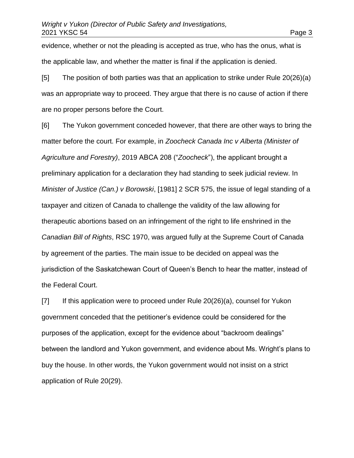evidence, whether or not the pleading is accepted as true, who has the onus, what is the applicable law, and whether the matter is final if the application is denied.

[5] The position of both parties was that an application to strike under Rule 20(26)(a) was an appropriate way to proceed. They argue that there is no cause of action if there are no proper persons before the Court.

[6] The Yukon government conceded however, that there are other ways to bring the matter before the court. For example, in *Zoocheck Canada Inc v Alberta (Minister of Agriculture and Forestry)*, 2019 ABCA 208 ("*Zoocheck*"), the applicant brought a preliminary application for a declaration they had standing to seek judicial review. In *Minister of Justice (Can.) v Borowski*, [1981] 2 SCR 575, the issue of legal standing of a taxpayer and citizen of Canada to challenge the validity of the law allowing for therapeutic abortions based on an infringement of the right to life enshrined in the *Canadian Bill of Rights*, RSC 1970, was argued fully at the Supreme Court of Canada by agreement of the parties. The main issue to be decided on appeal was the jurisdiction of the Saskatchewan Court of Queen's Bench to hear the matter, instead of the Federal Court.

[7] If this application were to proceed under Rule 20(26)(a), counsel for Yukon government conceded that the petitioner's evidence could be considered for the purposes of the application, except for the evidence about "backroom dealings" between the landlord and Yukon government, and evidence about Ms. Wright's plans to buy the house. In other words, the Yukon government would not insist on a strict application of Rule 20(29).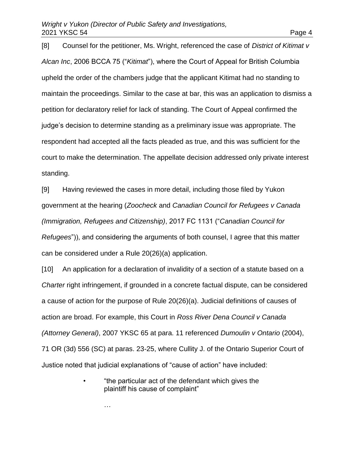[8] Counsel for the petitioner, Ms. Wright, referenced the case of *District of Kitimat v Alcan Inc*, 2006 BCCA 75 ("*Kitimat*"), where the Court of Appeal for British Columbia upheld the order of the chambers judge that the applicant Kitimat had no standing to maintain the proceedings. Similar to the case at bar, this was an application to dismiss a petition for declaratory relief for lack of standing. The Court of Appeal confirmed the judge's decision to determine standing as a preliminary issue was appropriate. The respondent had accepted all the facts pleaded as true, and this was sufficient for the court to make the determination. The appellate decision addressed only private interest standing.

[9] Having reviewed the cases in more detail, including those filed by Yukon government at the hearing (*Zoocheck* and *Canadian Council for Refugees v Canada (Immigration, Refugees and Citizenship)*, 2017 FC 1131 ("*Canadian Council for Refugees*")), and considering the arguments of both counsel, I agree that this matter can be considered under a Rule 20(26)(a) application.

[10] An application for a declaration of invalidity of a section of a statute based on a *Charter* right infringement, if grounded in a concrete factual dispute, can be considered a cause of action for the purpose of Rule 20(26)(a). Judicial definitions of causes of action are broad. For example, this Court in *Ross River Dena Council v Canada (Attorney General)*, 2007 YKSC 65 at para. 11 referenced *Dumoulin v Ontario* (2004), 71 OR (3d) 556 (SC) at paras. 23-25, where Cullity J. of the Ontario Superior Court of Justice noted that judicial explanations of "cause of action" have included:

> • "the particular act of the defendant which gives the plaintiff his cause of complaint"

> > …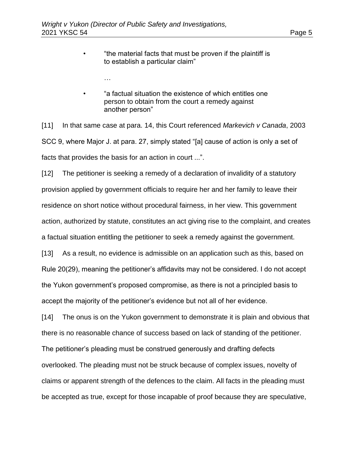…

- "the material facts that must be proven if the plaintiff is to establish a particular claim"
- "a factual situation the existence of which entitles one person to obtain from the court a remedy against another person"

[11] In that same case at para. 14, this Court referenced *Markevich v Canada*, 2003 SCC 9, where Major J. at para. 27, simply stated "[a] cause of action is only a set of facts that provides the basis for an action in court ...".

[12] The petitioner is seeking a remedy of a declaration of invalidity of a statutory provision applied by government officials to require her and her family to leave their residence on short notice without procedural fairness, in her view. This government action, authorized by statute, constitutes an act giving rise to the complaint, and creates a factual situation entitling the petitioner to seek a remedy against the government.

[13] As a result, no evidence is admissible on an application such as this, based on Rule 20(29), meaning the petitioner's affidavits may not be considered. I do not accept the Yukon government's proposed compromise, as there is not a principled basis to accept the majority of the petitioner's evidence but not all of her evidence.

[14] The onus is on the Yukon government to demonstrate it is plain and obvious that there is no reasonable chance of success based on lack of standing of the petitioner. The petitioner's pleading must be construed generously and drafting defects overlooked. The pleading must not be struck because of complex issues, novelty of claims or apparent strength of the defences to the claim. All facts in the pleading must be accepted as true, except for those incapable of proof because they are speculative,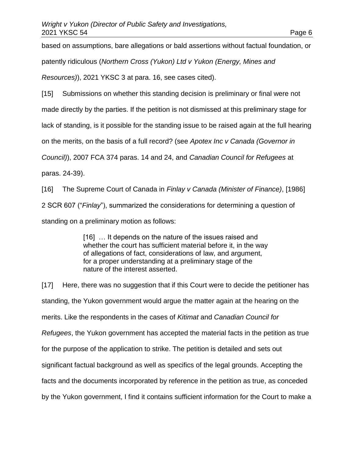based on assumptions, bare allegations or bald assertions without factual foundation, or patently ridiculous (*Northern Cross (Yukon) Ltd v Yukon (Energy, Mines and Resources)*), 2021 YKSC 3 at para. 16, see cases cited).

[15] Submissions on whether this standing decision is preliminary or final were not

made directly by the parties. If the petition is not dismissed at this preliminary stage for

lack of standing, is it possible for the standing issue to be raised again at the full hearing

on the merits, on the basis of a full record? (see *Apotex Inc v Canada (Governor in* 

*Council)*), 2007 FCA 374 paras. 14 and 24, and *Canadian Council for Refugees* at

paras. 24-39).

[16] The Supreme Court of Canada in *Finlay v Canada (Minister of Finance)*, [1986] 2 SCR 607 ("*Finlay*"), summarized the considerations for determining a question of standing on a preliminary motion as follows:

> [16] ... It depends on the nature of the issues raised and whether the court has sufficient material before it, in the way of allegations of fact, considerations of law, and argument, for a proper understanding at a preliminary stage of the nature of the interest asserted.

[17] Here, there was no suggestion that if this Court were to decide the petitioner has standing, the Yukon government would argue the matter again at the hearing on the merits. Like the respondents in the cases of *Kitimat* and *Canadian Council for Refugees*, the Yukon government has accepted the material facts in the petition as true for the purpose of the application to strike. The petition is detailed and sets out significant factual background as well as specifics of the legal grounds. Accepting the facts and the documents incorporated by reference in the petition as true, as conceded by the Yukon government, I find it contains sufficient information for the Court to make a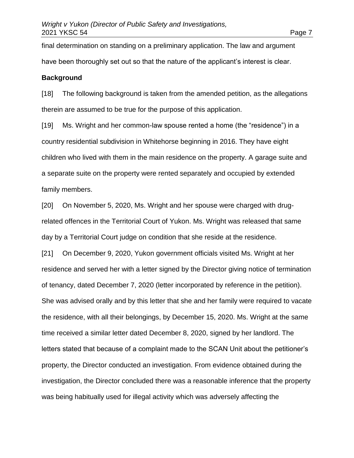final determination on standing on a preliminary application. The law and argument have been thoroughly set out so that the nature of the applicant's interest is clear.

#### **Background**

[18] The following background is taken from the amended petition, as the allegations therein are assumed to be true for the purpose of this application.

[19] Ms. Wright and her common-law spouse rented a home (the "residence") in a country residential subdivision in Whitehorse beginning in 2016. They have eight children who lived with them in the main residence on the property. A garage suite and a separate suite on the property were rented separately and occupied by extended family members.

[20] On November 5, 2020, Ms. Wright and her spouse were charged with drugrelated offences in the Territorial Court of Yukon. Ms. Wright was released that same day by a Territorial Court judge on condition that she reside at the residence.

[21] On December 9, 2020, Yukon government officials visited Ms. Wright at her residence and served her with a letter signed by the Director giving notice of termination of tenancy, dated December 7, 2020 (letter incorporated by reference in the petition). She was advised orally and by this letter that she and her family were required to vacate the residence, with all their belongings, by December 15, 2020. Ms. Wright at the same time received a similar letter dated December 8, 2020, signed by her landlord. The letters stated that because of a complaint made to the SCAN Unit about the petitioner's property, the Director conducted an investigation. From evidence obtained during the investigation, the Director concluded there was a reasonable inference that the property was being habitually used for illegal activity which was adversely affecting the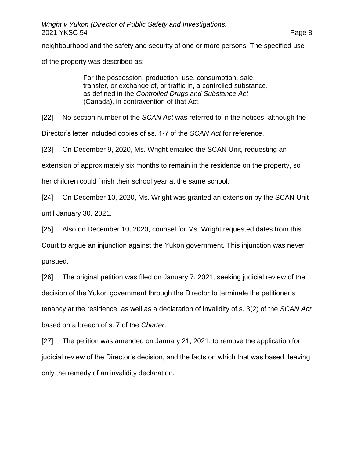neighbourhood and the safety and security of one or more persons. The specified use

of the property was described as:

For the possession, production, use, consumption, sale, transfer, or exchange of, or traffic in, a controlled substance, as defined in the *Controlled Drugs and Substance Act* (Canada), in contravention of that Act.

[22] No section number of the *SCAN Act* was referred to in the notices, although the

Director's letter included copies of ss. 1-7 of the *SCAN Act* for reference.

[23] On December 9, 2020, Ms. Wright emailed the SCAN Unit, requesting an

extension of approximately six months to remain in the residence on the property, so

her children could finish their school year at the same school.

[24] On December 10, 2020, Ms. Wright was granted an extension by the SCAN Unit until January 30, 2021.

[25] Also on December 10, 2020, counsel for Ms. Wright requested dates from this

Court to argue an injunction against the Yukon government. This injunction was never pursued.

[26] The original petition was filed on January 7, 2021, seeking judicial review of the decision of the Yukon government through the Director to terminate the petitioner's tenancy at the residence, as well as a declaration of invalidity of s. 3(2) of the *SCAN Act* based on a breach of s. 7 of the *Charter*.

[27] The petition was amended on January 21, 2021, to remove the application for judicial review of the Director's decision, and the facts on which that was based, leaving only the remedy of an invalidity declaration.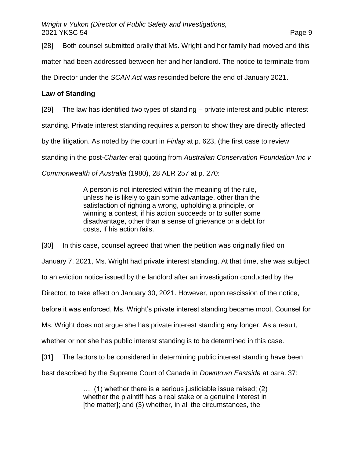[28] Both counsel submitted orally that Ms. Wright and her family had moved and this matter had been addressed between her and her landlord. The notice to terminate from the Director under the *SCAN Act* was rescinded before the end of January 2021.

#### **Law of Standing**

[29] The law has identified two types of standing – private interest and public interest

standing. Private interest standing requires a person to show they are directly affected

by the litigation. As noted by the court in *Finlay* at p. 623, (the first case to review

standing in the post-*Charter* era) quoting from *Australian Conservation Foundation Inc v* 

*Commonwealth of Australia* (1980), 28 ALR 257 at p. 270:

A person is not interested within the meaning of the rule, unless he is likely to gain some advantage, other than the satisfaction of righting a wrong, upholding a principle, or winning a contest, if his action succeeds or to suffer some disadvantage, other than a sense of grievance or a debt for costs, if his action fails.

[30] In this case, counsel agreed that when the petition was originally filed on January 7, 2021, Ms. Wright had private interest standing. At that time, she was subject to an eviction notice issued by the landlord after an investigation conducted by the Director, to take effect on January 30, 2021. However, upon rescission of the notice, before it was enforced, Ms. Wright's private interest standing became moot. Counsel for Ms. Wright does not argue she has private interest standing any longer. As a result, whether or not she has public interest standing is to be determined in this case. [31] The factors to be considered in determining public interest standing have been best described by the Supreme Court of Canada in *Downtown Eastside* at para. 37:

> … (1) whether there is a serious justiciable issue raised; (2) whether the plaintiff has a real stake or a genuine interest in [the matter]; and (3) whether, in all the circumstances, the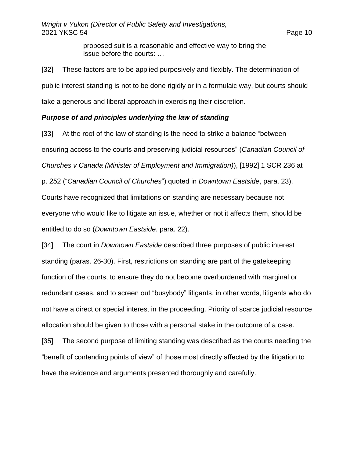proposed suit is a reasonable and effective way to bring the issue before the courts: …

[32] These factors are to be applied purposively and flexibly. The determination of public interest standing is not to be done rigidly or in a formulaic way, but courts should take a generous and liberal approach in exercising their discretion.

#### *Purpose of and principles underlying the law of standing*

[33] At the root of the law of standing is the need to strike a balance "between" ensuring access to the courts and preserving judicial resources" (*Canadian Council of Churches v Canada (Minister of Employment and Immigration)*), [1992] 1 SCR 236 at p. 252 ("*Canadian Council of Churches*") quoted in *Downtown Eastside*, para. 23). Courts have recognized that limitations on standing are necessary because not everyone who would like to litigate an issue, whether or not it affects them, should be entitled to do so (*Downtown Eastside*, para. 22).

[34] The court in *Downtown Eastside* described three purposes of public interest standing (paras. 26-30). First, restrictions on standing are part of the gatekeeping function of the courts, to ensure they do not become overburdened with marginal or redundant cases, and to screen out "busybody" litigants, in other words, litigants who do not have a direct or special interest in the proceeding. Priority of scarce judicial resource allocation should be given to those with a personal stake in the outcome of a case.

[35] The second purpose of limiting standing was described as the courts needing the "benefit of contending points of view" of those most directly affected by the litigation to have the evidence and arguments presented thoroughly and carefully.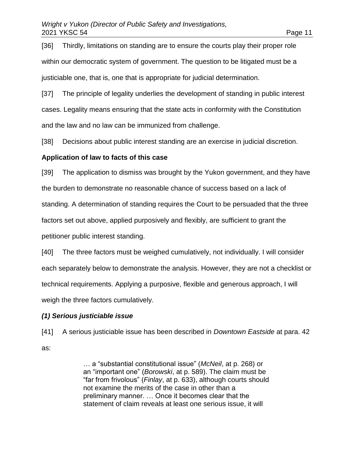[36] Thirdly, limitations on standing are to ensure the courts play their proper role within our democratic system of government. The question to be litigated must be a justiciable one, that is, one that is appropriate for judicial determination.

[37] The principle of legality underlies the development of standing in public interest cases. Legality means ensuring that the state acts in conformity with the Constitution and the law and no law can be immunized from challenge.

[38] Decisions about public interest standing are an exercise in judicial discretion.

#### **Application of law to facts of this case**

[39] The application to dismiss was brought by the Yukon government, and they have the burden to demonstrate no reasonable chance of success based on a lack of standing. A determination of standing requires the Court to be persuaded that the three factors set out above, applied purposively and flexibly, are sufficient to grant the petitioner public interest standing.

[40] The three factors must be weighed cumulatively, not individually. I will consider each separately below to demonstrate the analysis. However, they are not a checklist or technical requirements. Applying a purposive, flexible and generous approach, I will weigh the three factors cumulatively.

## *(1) Serious justiciable issue*

[41] A serious justiciable issue has been described in *Downtown Eastside* at para. 42 as:

> … a "substantial constitutional issue" (*McNeil*, at p. 268) or an "important one" (*Borowski*, at p. 589). The claim must be "far from frivolous" (*Finlay*, at p. 633), although courts should not examine the merits of the case in other than a preliminary manner. … Once it becomes clear that the statement of claim reveals at least one serious issue, it will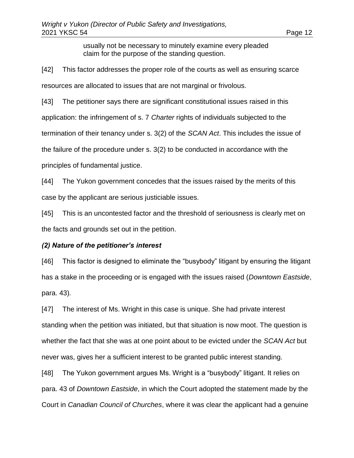usually not be necessary to minutely examine every pleaded claim for the purpose of the standing question.

[42] This factor addresses the proper role of the courts as well as ensuring scarce resources are allocated to issues that are not marginal or frivolous.

[43] The petitioner says there are significant constitutional issues raised in this application: the infringement of s. 7 *Charter* rights of individuals subjected to the termination of their tenancy under s. 3(2) of the *SCAN Act*. This includes the issue of the failure of the procedure under s. 3(2) to be conducted in accordance with the principles of fundamental justice.

[44] The Yukon government concedes that the issues raised by the merits of this case by the applicant are serious justiciable issues.

[45] This is an uncontested factor and the threshold of seriousness is clearly met on the facts and grounds set out in the petition.

#### *(2) Nature of the petitioner's interest*

[46] This factor is designed to eliminate the "busybody" litigant by ensuring the litigant has a stake in the proceeding or is engaged with the issues raised (*Downtown Eastside*, para. 43)*.* 

[47] The interest of Ms. Wright in this case is unique. She had private interest standing when the petition was initiated, but that situation is now moot. The question is whether the fact that she was at one point about to be evicted under the *SCAN Act* but never was, gives her a sufficient interest to be granted public interest standing.

[48] The Yukon government argues Ms. Wright is a "busybody" litigant. It relies on para. 43 of *Downtown Eastside*, in which the Court adopted the statement made by the Court in *Canadian Council of Churches*, where it was clear the applicant had a genuine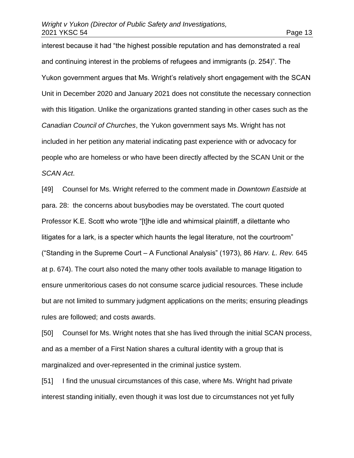interest because it had "the highest possible reputation and has demonstrated a real and continuing interest in the problems of refugees and immigrants (p. 254)". The Yukon government argues that Ms. Wright's relatively short engagement with the SCAN Unit in December 2020 and January 2021 does not constitute the necessary connection with this litigation. Unlike the organizations granted standing in other cases such as the *Canadian Council of Churches*, the Yukon government says Ms. Wright has not included in her petition any material indicating past experience with or advocacy for people who are homeless or who have been directly affected by the SCAN Unit or the *SCAN Act*.

[49] Counsel for Ms. Wright referred to the comment made in *Downtown Eastside* at para. 28: the concerns about busybodies may be overstated. The court quoted Professor K.E. Scott who wrote "[t]he idle and whimsical plaintiff, a dilettante who litigates for a lark, is a specter which haunts the legal literature, not the courtroom" ("Standing in the Supreme Court – A Functional Analysis" (1973), 86 *Harv. L. Rev.* 645 at p. 674). The court also noted the many other tools available to manage litigation to ensure unmeritorious cases do not consume scarce judicial resources. These include but are not limited to summary judgment applications on the merits; ensuring pleadings rules are followed; and costs awards.

[50] Counsel for Ms. Wright notes that she has lived through the initial SCAN process, and as a member of a First Nation shares a cultural identity with a group that is marginalized and over-represented in the criminal justice system.

[51] I find the unusual circumstances of this case, where Ms. Wright had private interest standing initially, even though it was lost due to circumstances not yet fully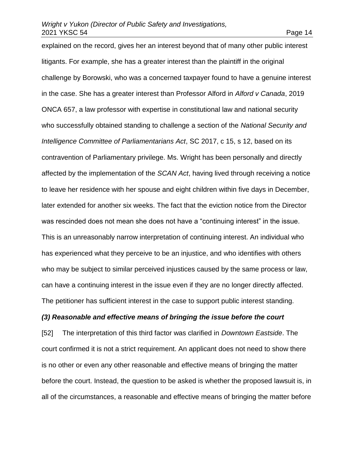explained on the record, gives her an interest beyond that of many other public interest litigants. For example, she has a greater interest than the plaintiff in the original challenge by Borowski, who was a concerned taxpayer found to have a genuine interest in the case. She has a greater interest than Professor Alford in *Alford v Canada*, 2019 ONCA 657, a law professor with expertise in constitutional law and national security who successfully obtained standing to challenge a section of the *National Security and Intelligence Committee of Parliamentarians Act*, SC 2017, c 15, s 12, based on its contravention of Parliamentary privilege. Ms. Wright has been personally and directly affected by the implementation of the *SCAN Act*, having lived through receiving a notice to leave her residence with her spouse and eight children within five days in December, later extended for another six weeks. The fact that the eviction notice from the Director was rescinded does not mean she does not have a "continuing interest" in the issue. This is an unreasonably narrow interpretation of continuing interest. An individual who has experienced what they perceive to be an injustice, and who identifies with others who may be subject to similar perceived injustices caused by the same process or law, can have a continuing interest in the issue even if they are no longer directly affected. The petitioner has sufficient interest in the case to support public interest standing.

## *(3) Reasonable and effective means of bringing the issue before the court*

[52] The interpretation of this third factor was clarified in *Downtown Eastside*. The court confirmed it is not a strict requirement. An applicant does not need to show there is no other or even any other reasonable and effective means of bringing the matter before the court. Instead, the question to be asked is whether the proposed lawsuit is, in all of the circumstances, a reasonable and effective means of bringing the matter before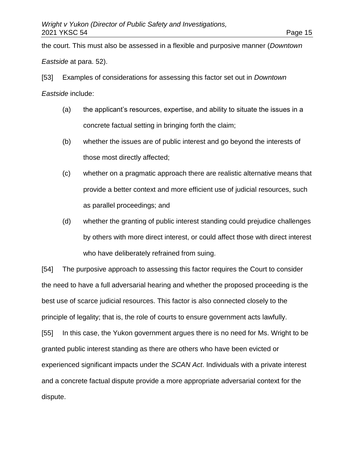the court. This must also be assessed in a flexible and purposive manner (*Downtown Eastside* at para. 52).

[53] Examples of considerations for assessing this factor set out in *Downtown Eastside* include:

- (a) the applicant's resources, expertise, and ability to situate the issues in a concrete factual setting in bringing forth the claim;
- (b) whether the issues are of public interest and go beyond the interests of those most directly affected;
- (c) whether on a pragmatic approach there are realistic alternative means that provide a better context and more efficient use of judicial resources, such as parallel proceedings; and
- (d) whether the granting of public interest standing could prejudice challenges by others with more direct interest, or could affect those with direct interest who have deliberately refrained from suing.

[54] The purposive approach to assessing this factor requires the Court to consider the need to have a full adversarial hearing and whether the proposed proceeding is the best use of scarce judicial resources. This factor is also connected closely to the principle of legality; that is, the role of courts to ensure government acts lawfully. [55] In this case, the Yukon government argues there is no need for Ms. Wright to be granted public interest standing as there are others who have been evicted or experienced significant impacts under the *SCAN Act*. Individuals with a private interest and a concrete factual dispute provide a more appropriate adversarial context for the dispute.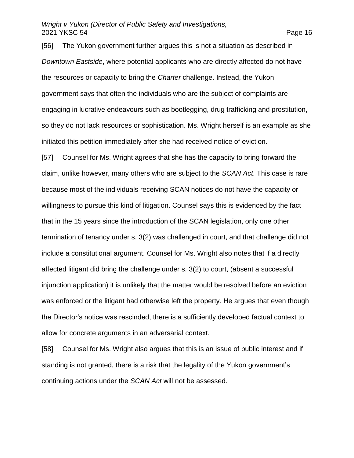[56] The Yukon government further argues this is not a situation as described in *Downtown Eastside*, where potential applicants who are directly affected do not have the resources or capacity to bring the *Charter* challenge. Instead, the Yukon government says that often the individuals who are the subject of complaints are engaging in lucrative endeavours such as bootlegging, drug trafficking and prostitution, so they do not lack resources or sophistication. Ms. Wright herself is an example as she initiated this petition immediately after she had received notice of eviction.

[57] Counsel for Ms. Wright agrees that she has the capacity to bring forward the claim, unlike however, many others who are subject to the *SCAN Act*. This case is rare because most of the individuals receiving SCAN notices do not have the capacity or willingness to pursue this kind of litigation. Counsel says this is evidenced by the fact that in the 15 years since the introduction of the SCAN legislation, only one other termination of tenancy under s. 3(2) was challenged in court, and that challenge did not include a constitutional argument. Counsel for Ms. Wright also notes that if a directly affected litigant did bring the challenge under s. 3(2) to court, (absent a successful injunction application) it is unlikely that the matter would be resolved before an eviction was enforced or the litigant had otherwise left the property. He argues that even though the Director's notice was rescinded, there is a sufficiently developed factual context to allow for concrete arguments in an adversarial context.

[58] Counsel for Ms. Wright also argues that this is an issue of public interest and if standing is not granted, there is a risk that the legality of the Yukon government's continuing actions under the *SCAN Act* will not be assessed.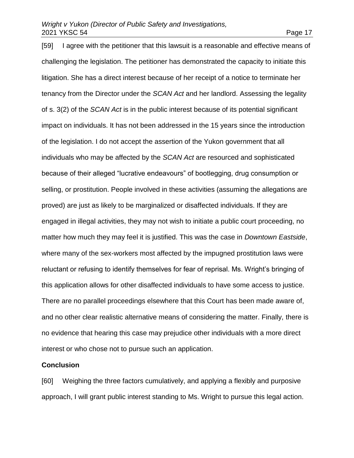[59] I agree with the petitioner that this lawsuit is a reasonable and effective means of challenging the legislation. The petitioner has demonstrated the capacity to initiate this litigation. She has a direct interest because of her receipt of a notice to terminate her tenancy from the Director under the *SCAN Act* and her landlord. Assessing the legality of s. 3(2) of the *SCAN Act* is in the public interest because of its potential significant impact on individuals. It has not been addressed in the 15 years since the introduction of the legislation. I do not accept the assertion of the Yukon government that all individuals who may be affected by the *SCAN Act* are resourced and sophisticated because of their alleged "lucrative endeavours" of bootlegging, drug consumption or selling, or prostitution. People involved in these activities (assuming the allegations are proved) are just as likely to be marginalized or disaffected individuals. If they are engaged in illegal activities, they may not wish to initiate a public court proceeding, no matter how much they may feel it is justified. This was the case in *Downtown Eastside*, where many of the sex-workers most affected by the impugned prostitution laws were reluctant or refusing to identify themselves for fear of reprisal. Ms. Wright's bringing of this application allows for other disaffected individuals to have some access to justice. There are no parallel proceedings elsewhere that this Court has been made aware of, and no other clear realistic alternative means of considering the matter. Finally, there is no evidence that hearing this case may prejudice other individuals with a more direct interest or who chose not to pursue such an application.

#### **Conclusion**

[60] Weighing the three factors cumulatively, and applying a flexibly and purposive approach, I will grant public interest standing to Ms. Wright to pursue this legal action.